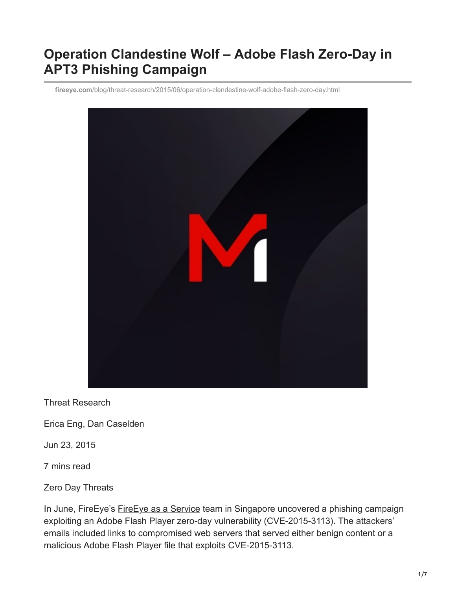# **Operation Clandestine Wolf – Adobe Flash Zero-Day in APT3 Phishing Campaign**

**fireeye.com**[/blog/threat-research/2015/06/operation-clandestine-wolf-adobe-flash-zero-day.html](https://www.fireeye.com/blog/threat-research/2015/06/operation-clandestine-wolf-adobe-flash-zero-day.html)



Threat Research

Erica Eng, Dan Caselden

Jun 23, 2015

7 mins read

Zero Day Threats

In June, FireEye's [FireEye as a Service](https://www.fireeye.com/products/fireeye-mssp-services.html) team in Singapore uncovered a phishing campaign exploiting an Adobe Flash Player zero-day vulnerability (CVE-2015-3113). The attackers' emails included links to compromised web servers that served either benign content or a malicious Adobe Flash Player file that exploits CVE-2015-3113.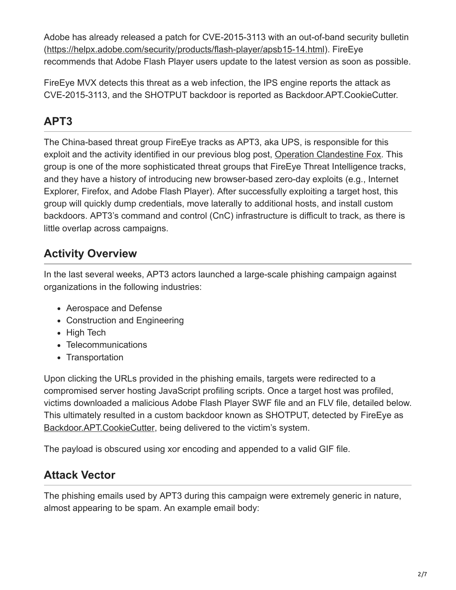Adobe has already released a patch for CVE-2015-3113 with an out-of-band security bulletin ([https://helpx.adobe.com/security/products/flash-player/apsb15-14.html\)](https://helpx.adobe.com/security/products/flash-player/apsb15-14.html). FireEye recommends that Adobe Flash Player users update to the latest version as soon as possible.

FireEye MVX detects this threat as a web infection, the IPS engine reports the attack as CVE-2015-3113, and the SHOTPUT backdoor is reported as Backdoor.APT.CookieCutter.

## **APT3**

The China-based threat group FireEye tracks as APT3, aka UPS, is responsible for this exploit and the activity identified in our previous blog post, [Operation Clandestine Fox.](https://www.fireeye.com/blog/threat-research/2014/04/new-zero-day-exploit-targeting-internet-explorer-versions-9-through-11-identified-in-targeted-attacks.html) This group is one of the more sophisticated threat groups that FireEye Threat Intelligence tracks, and they have a history of introducing new browser-based zero-day exploits (e.g., Internet Explorer, Firefox, and Adobe Flash Player). After successfully exploiting a target host, this group will quickly dump credentials, move laterally to additional hosts, and install custom backdoors. APT3's command and control (CnC) infrastructure is difficult to track, as there is little overlap across campaigns.

## **Activity Overview**

In the last several weeks, APT3 actors launched a large-scale phishing campaign against organizations in the following industries:

- Aerospace and Defense
- Construction and Engineering
- High Tech
- Telecommunications
- Transportation

Upon clicking the URLs provided in the phishing emails, targets were redirected to a compromised server hosting JavaScript profiling scripts. Once a target host was profiled, victims downloaded a malicious Adobe Flash Player SWF file and an FLV file, detailed below. This ultimately resulted in a custom backdoor known as SHOTPUT, detected by FireEye as [Backdoor.APT.CookieCutter,](https://www.fireeye.com/resources/operation-double-tap) being delivered to the victim's system.

The payload is obscured using xor encoding and appended to a valid GIF file.

## **Attack Vector**

The phishing emails used by APT3 during this campaign were extremely generic in nature, almost appearing to be spam. An example email body: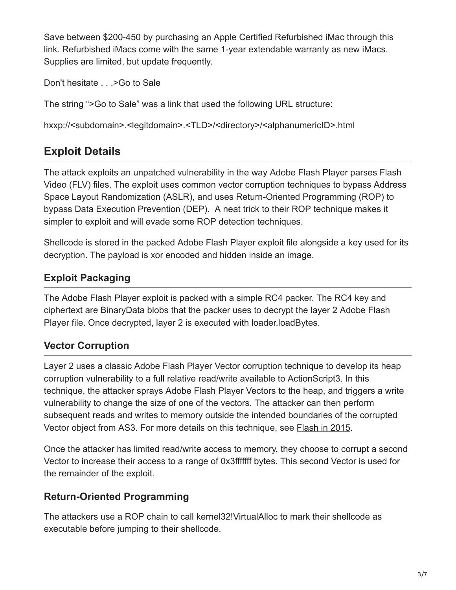Save between \$200-450 by purchasing an Apple Certified Refurbished iMac through this link. Refurbished iMacs come with the same 1-year extendable warranty as new iMacs. Supplies are limited, but update frequently.

Don't hesitate . . . > Go to Sale

The string ">Go to Sale" was a link that used the following URL structure:

hxxp://<subdomain>.<legitdomain>.<TLD>/<directory>/<alphanumericID>.html

## **Exploit Details**

The attack exploits an unpatched vulnerability in the way Adobe Flash Player parses Flash Video (FLV) files. The exploit uses common vector corruption techniques to bypass Address Space Layout Randomization (ASLR), and uses Return-Oriented Programming (ROP) to bypass Data Execution Prevention (DEP). A neat trick to their ROP technique makes it simpler to exploit and will evade some ROP detection techniques.

Shellcode is stored in the packed Adobe Flash Player exploit file alongside a key used for its decryption. The payload is xor encoded and hidden inside an image.

#### **Exploit Packaging**

The Adobe Flash Player exploit is packed with a simple RC4 packer. The RC4 key and ciphertext are BinaryData blobs that the packer uses to decrypt the layer 2 Adobe Flash Player file. Once decrypted, layer 2 is executed with loader.loadBytes.

#### **Vector Corruption**

Layer 2 uses a classic Adobe Flash Player Vector corruption technique to develop its heap corruption vulnerability to a full relative read/write available to ActionScript3. In this technique, the attacker sprays Adobe Flash Player Vectors to the heap, and triggers a write vulnerability to change the size of one of the vectors. The attacker can then perform subsequent reads and writes to memory outside the intended boundaries of the corrupted Vector object from AS3. For more details on this technique, see [Flash in 2015](https://www.fireeye.com/blog/threat-research/2015/03/flash_in_2015.html).

Once the attacker has limited read/write access to memory, they choose to corrupt a second Vector to increase their access to a range of 0x3fffffff bytes. This second Vector is used for the remainder of the exploit.

#### **Return-Oriented Programming**

The attackers use a ROP chain to call kernel32!VirtualAlloc to mark their shellcode as executable before jumping to their shellcode.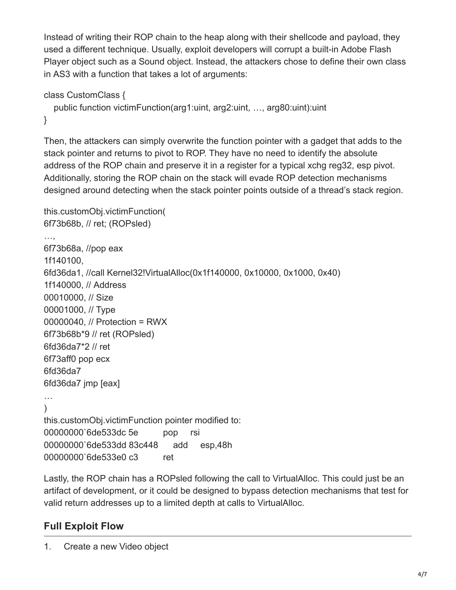Instead of writing their ROP chain to the heap along with their shellcode and payload, they used a different technique. Usually, exploit developers will corrupt a built-in Adobe Flash Player object such as a Sound object. Instead, the attackers chose to define their own class in AS3 with a function that takes a lot of arguments:

```
class CustomClass {
   public function victimFunction(arg1:uint, arg2:uint, …, arg80:uint):uint
}
```
Then, the attackers can simply overwrite the function pointer with a gadget that adds to the stack pointer and returns to pivot to ROP. They have no need to identify the absolute address of the ROP chain and preserve it in a register for a typical xchg reg32, esp pivot. Additionally, storing the ROP chain on the stack will evade ROP detection mechanisms designed around detecting when the stack pointer points outside of a thread's stack region.

```
this.customObj.victimFunction(
6f73b68b, // ret; (ROPsled)
…,
6f73b68a, //pop eax
1f140100,
6fd36da1, //call Kernel32!VirtualAlloc(0x1f140000, 0x10000, 0x1000, 0x40)
1f140000, // Address
00010000, // Size
00001000, // Type
00000040, // Protection = RWX
6f73b68b*9 // ret (ROPsled)
6fd36da7*2 // ret
6f73aff0 pop ecx
6fd36da7
6fd36da7 jmp [eax]
…
\lambdathis.customObj.victimFunction pointer modified to:
00000000`6de533dc 5e pop rsi
00000000`6de533dd 83c448 add esp,48h
00000000`6de533e0 c3 ret
```
Lastly, the ROP chain has a ROPsled following the call to VirtualAlloc. This could just be an artifact of development, or it could be designed to bypass detection mechanisms that test for valid return addresses up to a limited depth at calls to VirtualAlloc.

### **Full Exploit Flow**

1. Create a new Video object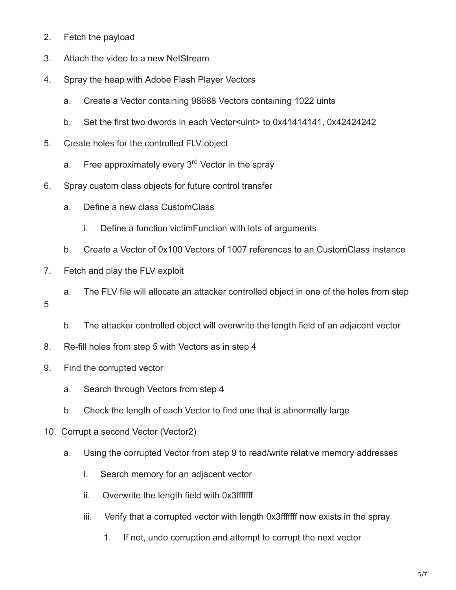- 2. Fetch the payload
- 3. Attach the video to a new NetStream
- 4. Spray the heap with Adobe Flash Player Vectors
	- a. Create a Vector containing 98688 Vectors containing 1022 uints
	- b. Set the first two dwords in each Vector < untertainty to 0x41414141, 0x42424242
- 5. Create holes for the controlled FLV object
- a. Free approximately every 3<sup>rd</sup> Vector in the spray
- 6. Spray custom class objects for future control transfer
	- a. Define a new class CustomClass
		- i. Define a function victimFunction with lots of arguments
	- b. Create a Vector of 0x100 Vectors of 1007 references to an CustomClass instance
- 7. Fetch and play the FLV exploit
- a. The FLV file will allocate an attacker controlled object in one of the holes from step 5
	- b. The attacker controlled object will overwrite the length field of an adjacent vector
- 8. Re-fill holes from step 5 with Vectors as in step 4
- 9. Find the corrupted vector
	- a. Search through Vectors from step 4
	- b. Check the length of each Vector to find one that is abnormally large
- 10. Corrupt a second Vector (Vector2)
	- a. Using the corrupted Vector from step 9 to read/write relative memory addresses
		- i. Search memory for an adjacent vector
		- ii. Overwrite the length field with 0x3fffffff
		- iii. Verify that a corrupted vector with length 0x3fffffff now exists in the spray
			- 1. If not, undo corruption and attempt to corrupt the next vector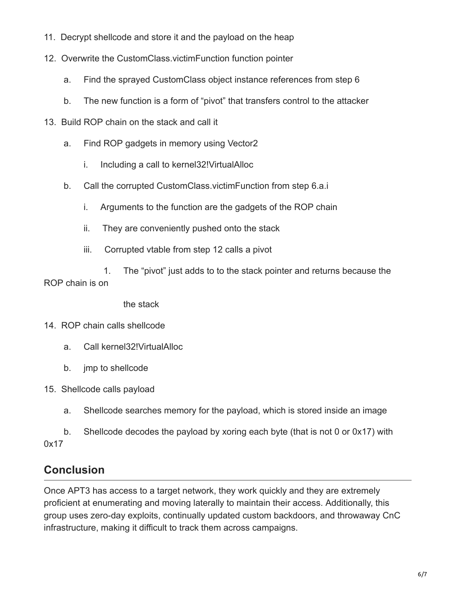- 11. Decrypt shellcode and store it and the payload on the heap
- 12. Overwrite the CustomClass.victimFunction function pointer
	- a. Find the sprayed CustomClass object instance references from step 6
	- b. The new function is a form of "pivot" that transfers control to the attacker
- 13. Build ROP chain on the stack and call it
	- a. Find ROP gadgets in memory using Vector2
		- i. Including a call to kernel32!VirtualAlloc
	- b. Call the corrupted CustomClass.victimFunction from step 6.a.i
		- i. Arguments to the function are the gadgets of the ROP chain
		- ii. They are conveniently pushed onto the stack
		- iii. Corrupted vtable from step 12 calls a pivot

 1. The "pivot" just adds to to the stack pointer and returns because the ROP chain is on

the stack

- 14. ROP chain calls shellcode
	- a. Call kernel32!VirtualAlloc
	- b. jmp to shellcode
- 15. Shellcode calls payload
	- a. Shellcode searches memory for the payload, which is stored inside an image
- b. Shellcode decodes the payload by xoring each byte (that is not 0 or 0x17) with 0x17

## **Conclusion**

Once APT3 has access to a target network, they work quickly and they are extremely proficient at enumerating and moving laterally to maintain their access. Additionally, this group uses zero-day exploits, continually updated custom backdoors, and throwaway CnC infrastructure, making it difficult to track them across campaigns.